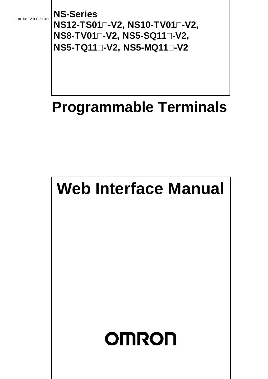Cat. No. V100-E1-01

**NS-Series NS12-TS01-V2, NS10-TV01-V2, NS8-TV01-V2, NS5-SQ11-V2, NS5-TQ11-V2, NS5-MQ11-V2** 

# **Programmable Terminals**

# **Web Interface Manual**

# **OMRON**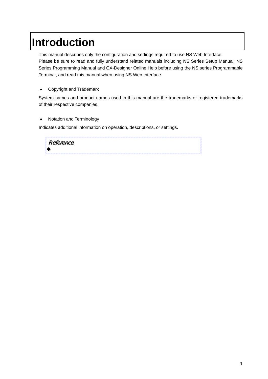# **Introduction**

This manual describes only the configuration and settings required to use NS Web Interface. Please be sure to read and fully understand related manuals including NS Series Setup Manual, NS Series Programming Manual and CX-Designer Online Help before using the NS series Programmable Terminal, and read this manual when using NS Web Interface.

• Copyright and Trademark

System names and product names used in this manual are the trademarks or registered trademarks of their respective companies.

• Notation and Terminology

Indicates additional information on operation, descriptions, or settings.

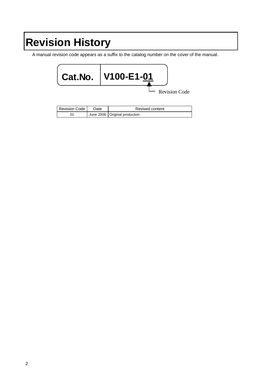# **Revision History**

A manual revision code appears as a suffix to the catalog number on the cover of the manual.



| Revision Code | Date | Revised content                 |
|---------------|------|---------------------------------|
|               |      | June 2008   Original production |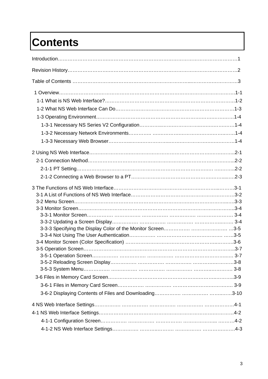# **Contents**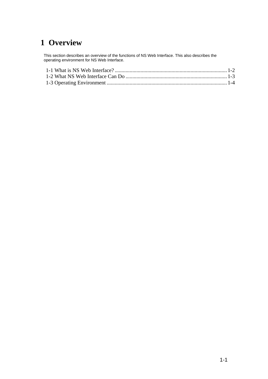# **1 Overview**

This section describes an overview of the functions of NS Web Interface. This also describes the operating environment for NS Web Interface.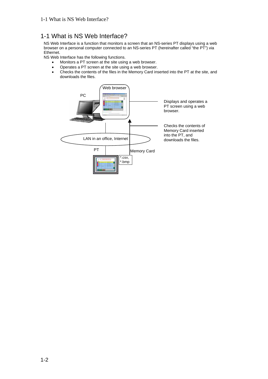## <span id="page-6-0"></span>1-1 What is NS Web Interface?

NS Web Interface is a function that monitors a screen that an NS-series PT displays using a web browser on a personal computer connected to an NS-series PT (hereinafter called "the PT") via Ethernet.

NS Web Interface has the following functions.

- Monitors a PT screen at the site using a web browser.
- Operates a PT screen at the site using a web browser.
- Checks the contents of the files in the Memory Card inserted into the PT at the site, and downloads the files.

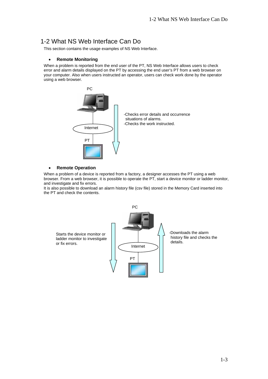#### <span id="page-7-0"></span>1-2 What NS Web Interface Can Do

This section contains the usage examples of NS Web Interface.

#### • **Remote Monitoring**

When a problem is reported from the end user of the PT, NS Web Interface allows users to check error and alarm details displayed on the PT by accessing the end user's PT from a web browser on your computer. Also when users instructed an operator, users can check work done by the operator using a web browser.



#### • **Remote Operation**

When a problem of a device is reported from a factory, a designer accesses the PT using a web browser. From a web browser, it is possible to operate the PT, start a device monitor or ladder monitor, and investigate and fix errors.

It is also possible to download an alarm history file (csv file) stored in the Memory Card inserted into the PT and check the contents.

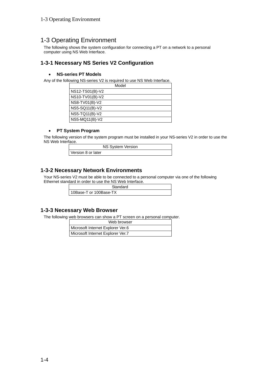#### <span id="page-8-0"></span>1-3 Operating Environment

The following shows the system configuration for connecting a PT on a network to a personal computer using NS Web Interface.

#### **1-3-1 Necessary NS Series V2 Configuration**

#### • **NS-series PT Models**

Any of the following NS-series V2 is required to use NS Web Interface.

| Model           |
|-----------------|
| NS12-TS01(B)-V2 |
| NS10-TV01(B)-V2 |
| NS8-TV01(B)-V2  |
| NS5-SQ11(B)-V2  |
| NS5-TQ11(B)-V2  |
| NS5-MQ11(B)-V2  |

#### • **PT System Program**

The following version of the system program must be installed in your NS-series V2 in order to use the NS Web Interface.

|                    | <b>NS System Version</b> |
|--------------------|--------------------------|
| Version 8 or later |                          |

#### **1-3-2 Necessary Network Environments**

Your NS-series V2 must be able to be connected to a personal computer via one of the following Ethernet standard in order to use the NS Web Interface.

| Standard               |
|------------------------|
| 10Base-T or 100Base-TX |

#### **1-3-3 Necessary Web Browser**

The following web browsers can show a PT screen on a personal computer.

| Web browser                       |
|-----------------------------------|
| Microsoft Internet Explorer Ver.6 |
| Microsoft Internet Explorer Ver.7 |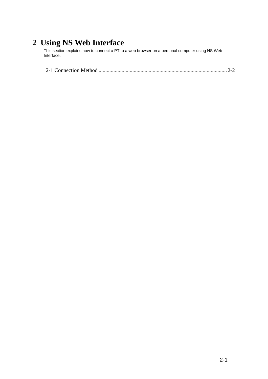# **2 Using NS Web Interface**

This section explains how to connect a PT to a web browser on a personal computer using NS Web Interface.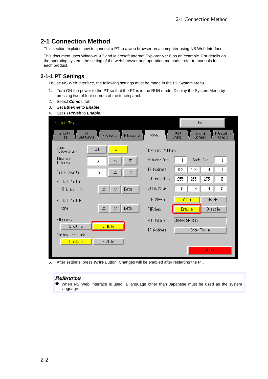## <span id="page-10-0"></span>**2-1 Connection Method**

This section explains how to connect a PT to a web browser on a computer using NS Web Interface.

This document uses Windows XP and Microsoft Internet Explorer Ver.6 as an example. For details on the operating system, the setting of the web browser and operation methods, refer to manuals for each product.

#### **2-1-1 PT Settings**

To use NS Web Interface, the following settings must be made in the PT System Menu.

- 1. Turn ON the power to the PT so that the PT is in the RUN mode. Display the System Menu by pressing two of four corners of the touch panel.
- 2. Select *Comm.* Tab.
- 3. Set *Ethernet* to *Enable*.
- 4. Set *FTP/Web* to *Enable*.

| System Menu                       |           |                           |                   |               |                   | Exit      |                   |  |
|-----------------------------------|-----------|---------------------------|-------------------|---------------|-------------------|-----------|-------------------|--|
| Initia-<br>PT<br>Settings<br>lize | Project   | Password                  | Comm.             | Data<br>Check | Special<br>Screen |           | Hardware<br>Check |  |
| Comm.<br>Auto-return              | <b>ON</b> | <b>OFF</b>                | Ethernet Setting  |               |                   |           |                   |  |
| Time-out<br>Interval              | 3         | Δ<br>Δ                    | Network Add.      | $\mathbf{1}$  |                   | Node Add. | $1\,$             |  |
| Retry Counts                      | 5         | Δ<br>▽                    | <b>IP</b> Address | 192           | 168               | Ø         | 1                 |  |
| Serial Port A                     |           |                           | Sub-net Mask      | 255           | 255               | 255       | Ø                 |  |
| NT Link 1:N                       | Δ         | Detail<br>$\triangledown$ | Default GW        | Ø             | Ø                 | Ø         | Ø                 |  |
| Serial Port B                     |           |                           | LAN SPEED         |               | AUTO <sup></sup>  |           | 10BASE-T          |  |
| None                              | Δ         | Detail<br>▽               | FTP/Web           |               | Enable            |           | Disable           |  |
| Ethernet                          |           |                           | MAC Address       | 00000A3618AA  |                   |           |                   |  |
| Disable                           | Enable    |                           | <b>IP</b> Address |               | Show Table        |           |                   |  |
| Controller Link<br><b>Disable</b> | Enable    |                           |                   |               |                   |           |                   |  |
|                                   |           |                           |                   |               |                   | Write     |                   |  |

5. After settings, press *Write* Button. Changes will be enabled after restarting the PT.

#### Reference

When NS Web Interface is used, a language other than Japanese must be used as the system language.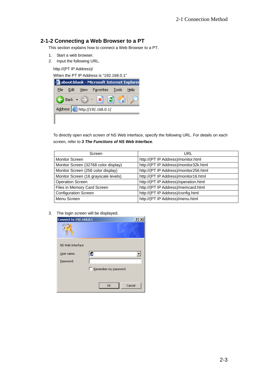#### **2-1-2 Connecting a Web Browser to a PT**

This section explains how to connect a Web Browser to a PT.

- 1. Start a web browser.
- 2. Input the following URL.

http://(PT IP Address)/

When the PT IP Address is "192.168.0.1"



To directly open each screen of NS Web Interface, specify the following URL. For details on each screen, refer to *3 The Functions of NS Web Interface*.

| Screen                               | URL                                    |  |  |
|--------------------------------------|----------------------------------------|--|--|
| <b>Monitor Screen</b>                | http://(PT IP Address)/monitor.html    |  |  |
| Monitor Screen (32768 color display) | http://(PT IP Address)/monitor32k.html |  |  |
| Monitor Screen (256 color display)   | http://(PT IP Address)/monitor256.html |  |  |
| Monitor Screen (16 grayscale levels) | http://(PT IP Address)/monitor16.html  |  |  |
| <b>Operation Screen</b>              | http://(PT IP Address)/operation.html  |  |  |
| Files in Memory Card Screen          | http://(PT IP Address)/memcard.html    |  |  |
| <b>Configuration Screen</b>          | http://(PT IP Address)/config.html     |  |  |
| Menu Screen                          | http://(PT IP Address)/menu.html       |  |  |

3. The login screen will be displayed.

| <b>Connect to 192.168.0.1</b> |                      |
|-------------------------------|----------------------|
|                               |                      |
| NS Web Interface              |                      |
| User name:                    | Ľ.                   |
| Password:                     |                      |
|                               | Remember my password |
|                               |                      |
|                               | Cancel<br>OK         |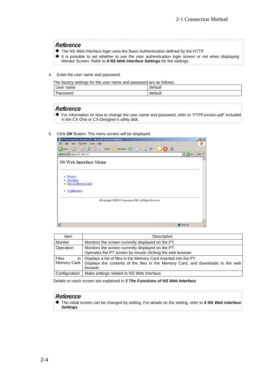#### Reference

- The NS Web Interface login uses the Basic Authentication defined by the HTTP.
- It is possible to set whether to use the user authentication login screen or not when displaying Monitor Screen. Refer to *4 NS Web Interface Settings* for the settings.
- 4. Enter the user name and password.

The factory settings for the user name and password are as follows.

| User name | .<br>haull |
|-----------|------------|
| Pas:      | $-2 - 1$   |
| `sword    | iauit      |

#### Reference

For information on how to change the user name and password, refer to "FTPFunction.pdf" included in the CX-One or CX-Designer's utility disk.

#### 5. Click *OK* Button. The menu screen will be displayed.

| -3 NS Web Interface Version 1.0 - Microsoft Internet Explorer | $ \Box$ ×                                         |
|---------------------------------------------------------------|---------------------------------------------------|
| File Edit Yerr Fgyorites Tools Help                           |                                                   |
| ● Back → ○ - ■ ② ☆ ○ Search ☆ Favorites ④ ☆ - ③ 回 -  <br>03   |                                                   |
| Address @ Mtp://192.168.0.1/                                  | Links <sup>10</sup><br>$\bullet$ $\rightarrow$ 60 |
| <b>NS Web Interface Menu</b>                                  |                                                   |
| - Monitor<br>Operation<br>. Files in Memory Card              |                                                   |
| - Configuration                                               |                                                   |
| @Copyright OMRON Corporation 2008. All Rights Reserved.       |                                                   |
|                                                               |                                                   |
|                                                               |                                                   |
| a                                                             | <b>D</b> Internet<br>À                            |

| Item                                | Description                                                                                                                                                      |
|-------------------------------------|------------------------------------------------------------------------------------------------------------------------------------------------------------------|
| Monitor                             | Monitors the screen currently displayed on the PT.                                                                                                               |
| <b>Operation</b>                    | Monitors the screen currently displayed on the PT.<br>Operates the PT screen by mouse clicking the web browser.                                                  |
| <b>Files</b><br>in '<br>Memory Card | Displays a list of files in the Memory Card inserted into the PT.<br>Displays the contents of the files in the Memory Card, and downloads to the web<br>browser. |
| Configuration                       | Make settings related to NS Web Interface.                                                                                                                       |

Details on each screen are explained in *3 The Functions of NS Web Interface*.

#### Reference

The initial screen can be changed by setting. For details on the setting, refer to *4 NS Web Interface Settings*.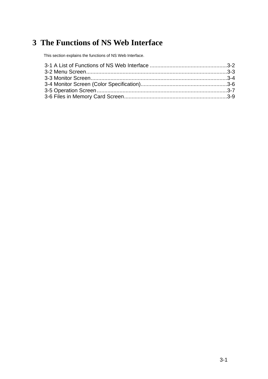# **3 The Functions of NS Web Interface**

This section explains the functions of NS Web Interface.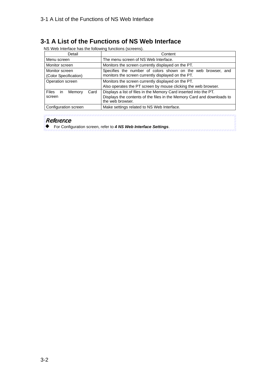### <span id="page-14-0"></span>**3-1 A List of the Functions of NS Web Interface**

NS Web Interface has the following functions (screens).

| Detail                                                                                                                                   | Content                                                                                                                                                         |
|------------------------------------------------------------------------------------------------------------------------------------------|-----------------------------------------------------------------------------------------------------------------------------------------------------------------|
| Menu screen                                                                                                                              | The menu screen of NS Web Interface.                                                                                                                            |
| Monitor screen                                                                                                                           | Monitors the screen currently displayed on the PT.                                                                                                              |
| Monitor screen<br>(Color Specification)                                                                                                  | Specifies the number of colors shown on the web browser, and<br>monitors the screen currently displayed on the PT.                                              |
| Monitors the screen currently displayed on the PT.<br>Operation screen<br>Also operates the PT screen by mouse clicking the web browser. |                                                                                                                                                                 |
| Files in<br>Card<br>Memory<br>screen                                                                                                     | Displays a list of files in the Memory Card inserted into the PT.<br>Displays the contents of the files in the Memory Card and downloads to<br>the web browser. |
| Configuration screen                                                                                                                     | Make settings related to NS Web Interface.                                                                                                                      |

#### Reference

For Configuration screen, refer to *4 NS Web Interface Settings*.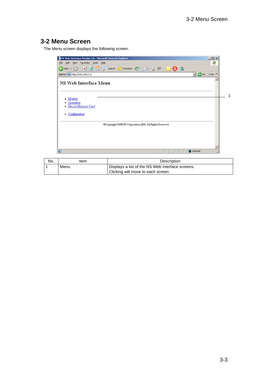## <span id="page-15-0"></span>**3-2 Menu Screen**

The Menu screen displays the following screen.



| No. | Item | Description                                      |
|-----|------|--------------------------------------------------|
|     | Menu | Displays a list of the NS Web Interface screens. |
|     |      | Clicking will move to each screen.               |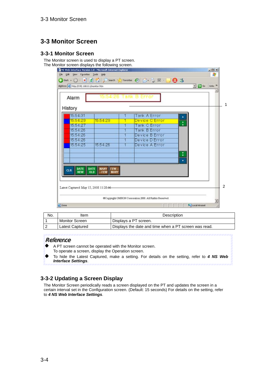# <span id="page-16-0"></span>**3-3 Monitor Screen**

#### **3-3-1 Monitor Screen**

The Monitor screen is used to display a PT screen. The Monitor screen displays the following screen.

| <b>Tank A Error</b> |                                                    |
|---------------------|----------------------------------------------------|
| Device C Error      |                                                    |
| Tank C Error        |                                                    |
| Tank B Error        |                                                    |
|                     |                                                    |
|                     |                                                    |
|                     |                                                    |
|                     |                                                    |
|                     |                                                    |
|                     |                                                    |
|                     |                                                    |
|                     |                                                    |
|                     |                                                    |
|                     | Device B Error<br>Device D Error<br>Device A Error |

| No. | ltem                  | Description                                           |
|-----|-----------------------|-------------------------------------------------------|
|     | <b>Monitor Screen</b> | Displays a PT screen.                                 |
|     | Latest Captured       | Displays the date and time when a PT screen was read. |

#### Reference

- ▴ A PT screen cannot be operated with the Monitor screen. To operate a screen, display the Operation screen.
- To hide the Latest Captured, make a setting. For details on the setting, refer to *4 NS Web Interface Settings*.

#### **3-3-2 Updating a Screen Display**

The Monitor Screen periodically reads a screen displayed on the PT and updates the screen in a certain interval set in the Configuration screen. (Default: 15 seconds) For details on the setting, refer to *4 NS Web Interface Settings*.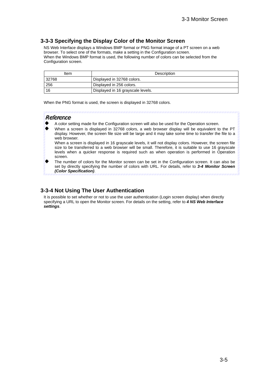#### **3-3-3 Specifying the Display Color of the Monitor Screen**

NS Web Interface displays a Windows BMP format or PNG format image of a PT screen on a web browser. To select one of the formats, make a setting in the Configuration screen. When the Windows BMP format is used, the following number of colors can be selected from the Configuration screen.

| Item  | Description                       |
|-------|-----------------------------------|
| 32768 | Displayed in 32768 colors.        |
| 256   | Displayed in 256 colors.          |
| -16   | Displayed in 16 grayscale levels. |

When the PNG format is used, the screen is displayed in 32768 colors.

#### Reference

- A color setting made for the Configuration screen will also be used for the Operation screen.
- When a screen is displayed in 32768 colors, a web browser display will be equivalent to the PT display. However, the screen file size will be large and it may take some time to transfer the file to a web browser.

When a screen is displayed in 16 grayscale levels, it will not display colors. However, the screen file size to be transferred to a web browser will be small. Therefore, it is suitable to use 16 grayscale levels when a quicker response is required such as when operation is performed in Operation screen.

The number of colors for the Monitor screen can be set in the Configuration screen. It can also be set by directly specifying the number of colors with URL. For details, refer to *3-4 Monitor Screen (Color Specification)*.

#### **3-3-4 Not Using The User Authentication**

It is possible to set whether or not to use the user authentication (Login screen display) when directly specifying a URL to open the Monitor screen. For details on the setting, refer to *4 NS Web Interface settings*.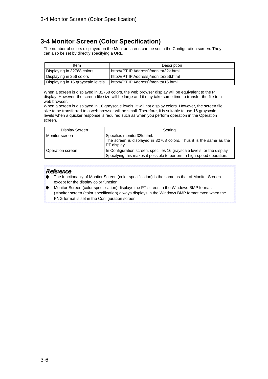## <span id="page-18-0"></span>**3-4 Monitor Screen (Color Specification)**

The number of colors displayed on the Monitor screen can be set in the Configuration screen. They can also be set by directly specifying a URL.

| Item                              | Description                            |
|-----------------------------------|----------------------------------------|
| Displaying in 32768 colors        | http://(PT IP Address)/monitor32k.html |
| Displaying in 256 colors          | http://(PT IP Address)/monitor256.html |
| Displaying in 16 grayscale levels | http://(PT IP Address)/monitor16.html  |

When a screen is displayed in 32768 colors, the web browser display will be equivalent to the PT display. However, the screen file size will be large and it may take some time to transfer the file to a web browser.

When a screen is displayed in 16 grayscale levels, it will not display colors. However, the screen file size to be transferred to a web browser will be small. Therefore, it is suitable to use 16 grayscale levels when a quicker response is required such as when you perform operation in the Operation screen.

| Display Screen   | Setting                                                                                                                                         |
|------------------|-------------------------------------------------------------------------------------------------------------------------------------------------|
| Monitor screen   | Specifies monitor32k.html.                                                                                                                      |
|                  | The screen is displayed in 32768 colors. Thus it is the same as the<br>PT display.                                                              |
| Operation screen | In Configuration screen, specifies 16 grayscale levels for the display.<br>Specifying this makes it possible to perform a high-speed operation. |

#### Reference

- The functionality of Monitor Screen (color specification) is the same as that of Monitor Screen except for the display color function.
- Monitor Screen (color specification) displays the PT screen in the Windows BMP format. (Monitor screen (color specification) always displays in the Windows BMP format even when the PNG format is set in the Configuration screen.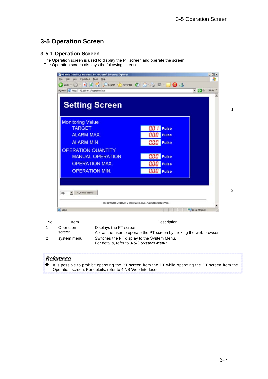# <span id="page-19-0"></span>**3-5 Operation Screen**

#### **3-5-1 Operation Screen**

The Operation screen is used to display the PT screen and operate the screen. The Operation screen displays the following screen.



| No. | Item        | Description                                                           |
|-----|-------------|-----------------------------------------------------------------------|
|     | Operation   | Displays the PT screen.                                               |
|     | screen      | Allows the user to operate the PT screen by clicking the web browser. |
|     | system menu | Switches the PT display to the System Menu.                           |
|     |             | For details, refer to 3-5-3 System Menu.                              |

#### Reference

It is possible to prohibit operating the PT screen from the PT while operating the PT screen from the Operation screen. For details, refer to 4 NS Web Interface.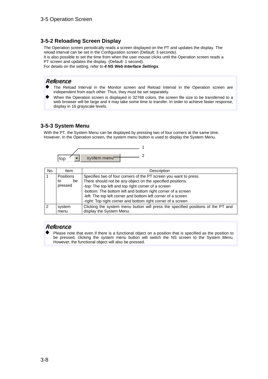#### **3-5-2 Reloading Screen Display**

The Operation screen periodically reads a screen displayed on the PT and updates the display. The reload interval can be set in the Configuration screen (Default: 3 seconds).

It is also possible to set the time from when the user mouse clicks until the Operation screen reads a PT screen and updates the display. (Default: 1 second).

For details on the setting, refer to *4 NS Web Interface Settings*.

#### Reference

- The Reload Interval in the Monitor screen and Reload Interval in the Operation screen are independent from each other. Thus, they must be set separately.
- When the Operation screen is displayed in 32768 colors, the screen file size to be transferred to a web browser will be large and it may take some time to transfer. In order to achieve faster response, display in 16 grayscale levels.

#### **3-5-3 System Menu**

With the PT, the System Menu can be displayed by pressing two of four corners at the same time. However, In the Operation screen, the system menu button is used to display the System Menu.



| No. | Item             | Description                                                                                                  |
|-----|------------------|--------------------------------------------------------------------------------------------------------------|
|     | <b>Positions</b> | Specifies two of four corners of the PT screen you want to press.                                            |
|     | be<br>to         | There should not be any object on the specified positions.                                                   |
|     | pressed          | -top: The top left and top right corner of a screen                                                          |
|     |                  | -bottom: The bottom left and bottom right corner of a screen                                                 |
|     |                  | -left: The top left corner and bottom left corner of a screen                                                |
|     |                  | -right: Top right corner and bottom right corner of a screen                                                 |
|     | system<br>menu   | Clicking the system menu button will press the specified positions of the PT and<br>display the System Menu. |

#### Reference

Please note that even if there is a functional object on a position that is specified as the position to be pressed, clicking the system menu button will switch the NS screen to the System Menu. However, the functional object will also be pressed.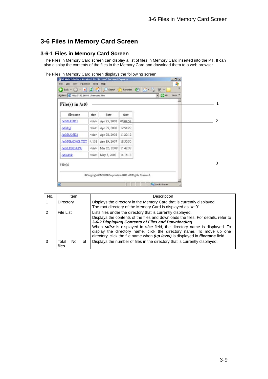# <span id="page-21-0"></span>**3-6 Files in Memory Card Screen**

#### **3-6-1 Files in Memory Card Screen**

The Files in Memory Card screen can display a list of files in Memory Card inserted into the PT. It can also display the contents of the files in the Memory Card and download them to a web browser.

The Files in Memory Card screen displays the following screen.

| Back $\bullet$ $\rightarrow$ $\bullet$ $\bullet$<br>Address 2 Ntp://192.168.0.1/memcard.htm | $\vert x \vert$ | GO .<br>Search 5 |          | Favorites ( ) [ v ] = [ ] = | $\bullet$ $\bullet$ | Links <sup>39</sup><br>× |  |
|---------------------------------------------------------------------------------------------|-----------------|------------------|----------|-----------------------------|---------------------|--------------------------|--|
| $File(s)$ in /at0                                                                           |                 |                  |          |                             |                     |                          |  |
| filename                                                                                    | size            | date             | time     |                             |                     |                          |  |
| Jat0/BANK1                                                                                  | ≤dr>            | Apr 25, 2008     | 09:04:52 |                             |                     |                          |  |
| <b>lat0/log</b>                                                                             | <dr></dr>       | Apr 25, 2008     | 12:54:22 |                             |                     |                          |  |
| /at0/BANK2                                                                                  | <dr></dr>       | Apr 28, 2008     | 11:22:12 |                             |                     |                          |  |
| /at0/README/TXT                                                                             | 4,108           | Apr 19, 2007     | 18:55:30 |                             |                     |                          |  |
| /at0/LDRDATA                                                                                | <dr></dr>       | Mar 25, 2008     | 11:42:38 |                             |                     |                          |  |
| fat0/dblk                                                                                   | ≤dr>            | May 3, 2008      | 14:16:18 |                             |                     |                          |  |
|                                                                                             |                 |                  |          |                             |                     |                          |  |
| $6$ file(s)                                                                                 |                 |                  |          |                             |                     |                          |  |

| No.           | <b>Item</b>                 | Description                                                                                                                                                                                                                                  |
|---------------|-----------------------------|----------------------------------------------------------------------------------------------------------------------------------------------------------------------------------------------------------------------------------------------|
|               | Directory                   | Displays the directory in the Memory Card that is currently displayed.                                                                                                                                                                       |
|               |                             | The root directory of the Memory Card is displayed as "/at0".                                                                                                                                                                                |
| $\mathcal{P}$ | File List                   | Lists files under the directory that is currently displayed.                                                                                                                                                                                 |
|               |                             | Displays the contents of the files and downloads the files. For details, refer to<br>3-6-2 Displaying Contents of Files and Downloading.                                                                                                     |
|               |                             | When <dir> is displayed in size field, the directory name is displayed. To<br/>display the directory name, click the directory name. To move up one<br/>directory, click the file name when (up level) is displayed in filename field.</dir> |
| 3             | Total<br>οf<br>No.<br>files | Displays the number of files in the directory that is currently displayed.                                                                                                                                                                   |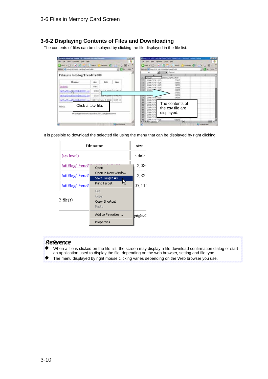#### **3-6-2 Displaying Contents of Files and Downloading**

The contents of files can be displayed by clicking the file displayed in the file list.

|                                         | Jon. ( ) 8 7   les Trees (Treese C) ( ) B .<br>Address (41) http://thic.com one (5) control |             |      | $-24$                         | Obsk + () - 8 2 7   3 Sech   2 fewton 2   (3)   超<br>Address (41) http://thic.com.com/section/finance |                                     |    |    | $+1214$             |              |
|-----------------------------------------|---------------------------------------------------------------------------------------------|-------------|------|-------------------------------|-------------------------------------------------------------------------------------------------------|-------------------------------------|----|----|---------------------|--------------|
|                                         |                                                                                             |             |      |                               |                                                                                                       | Groupt                              |    |    |                     |              |
|                                         | File(s) in /at0/log/Trend/Trd00                                                             |             |      |                               |                                                                                                       | CO ROMON LA DIATE                   | O. | D. |                     |              |
| <b>filmsame</b>                         |                                                                                             | 1504        | date | <b>Hane</b>                   | 2008/5/9 16:25<br>2008/579-16:25<br>Æ.<br>2008/5/9 16:25                                              | 22915<br>23863<br>24753             |    |    |                     |              |
| (up) level)                             |                                                                                             | <b>Adam</b> |      | is now Lapocar                | 2008/5/9 16:25<br>DOOR A                                                                              | 25,680<br>16415                     |    |    |                     |              |
| 500000 TrendSpd0070-800001.cpm          |                                                                                             | 2,094       |      |                               |                                                                                                       | 27893                               |    |    |                     |              |
| dational create Training a \$10002 cer- |                                                                                             | 7.828       |      |                               | 2008/57                                                                                               | 18639<br>29365                      |    |    |                     |              |
| 3.6460                                  | Intifag Tread Trd00/Trd00003 car 1103,115 May 3, 2008 12:05:12<br>Click a csy file.         |             |      |                               | 10<br>2008/5/9<br>11<br>2008/5/9<br>12<br>2008/5/3<br>13<br>2008-5/9<br>14<br>2008/5/9                | The contents of<br>the csy file are |    |    |                     |              |
|                                         | @Copyright CBERISI Cognitation 2008. All Fights Reserved.                                   |             |      | <b>Number of the American</b> | 15<br>2008/5/9<br>15<br>2008/5/9<br>2008/5/9 16:25<br><b>FAIR</b> , Tualiticist                       | displayed.<br>$-23213 - 141$        |    |    | <b>No construct</b> | <b>STERN</b> |

It is possible to download the selected file using the menu that can be displayed by right clicking.

| filename        | size                                  |                   |
|-----------------|---------------------------------------|-------------------|
| (up level)      |                                       | ≤dir>             |
| /at0/log/Trend/ | Open                                  | 2,084             |
| /at0/log/Trend/ | Open in New Window<br>Save Target As  | 2,828             |
| /at0/log/Trend/ | ۷Ļ<br>Print Target                    | $ 03, 11 \rangle$ |
| $3$ file $(s)$  | Cut<br>Copy<br>Copy Shortcut<br>Paste |                   |
|                 | Add to Favorites                      | yright C          |
|                 | Properties                            |                   |

#### Reference

- When a file is clicked on the file list, the screen may display a file download confirmation dialog or start an application used to display the file, depending on the web browser, setting and file type.
- The menu displayed by right mouse clicking varies depending on the Web browser you use. ٠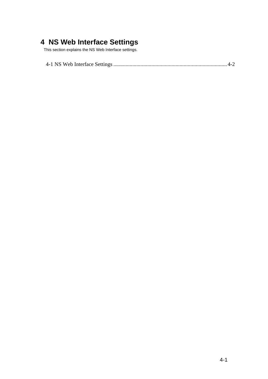# **4 NS Web Interface Settings**

This section explains the NS Web Interface settings.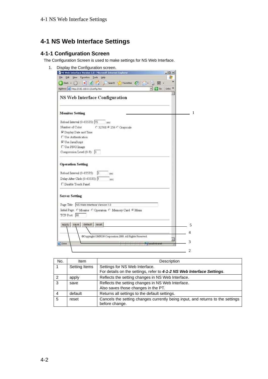## <span id="page-24-0"></span>**4-1 NS Web Interface Settings**

#### **4-1-1 Configuration Screen**

The Configuration Screen is used to make settings for NS Web Interface.



| No.           | <b>Item</b>   | Description                                                                                      |  |  |
|---------------|---------------|--------------------------------------------------------------------------------------------------|--|--|
|               | Setting Items | Settings for NS Web Interface.                                                                   |  |  |
|               |               | For details on the settings, refer to 4-1-2 NS Web Interface Settings.                           |  |  |
| $\mathcal{P}$ | apply         | Reflects the setting changes in NS Web Interface.                                                |  |  |
| 3             | save          | Reflects the setting changes in NS Web Interface.                                                |  |  |
|               |               | Also saves those changes in the PT.                                                              |  |  |
|               | default       | Returns all settings to the default settings.                                                    |  |  |
| 5             | reset         | Cancels the setting changes currently being input, and returns to the settings<br>before change. |  |  |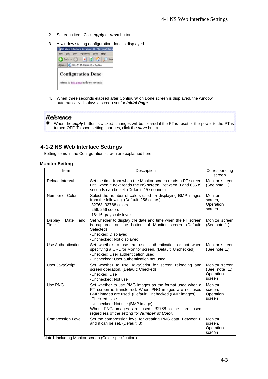- 2. Set each item. Click *apply* or *save* button.
- 3. A window stating configuration done is displayed.



4. When three seconds elapsed after Configuration Done screen is displayed, the window automatically displays a screen set for *Initial Page*.

#### Reference

When the *apply* button is clicked, changes will be cleared if the PT is reset or the power to the PT is turned OFF. To save setting changes, click the *save* button.

#### **4-1-2 NS Web Interface Settings**

Setting items in the Configuration screen are explained here.

#### **Monitor Setting**

| Item                           | Description                                                                                                                                                                                                                                                                                                                                 | Corresponding<br>screen                                 |
|--------------------------------|---------------------------------------------------------------------------------------------------------------------------------------------------------------------------------------------------------------------------------------------------------------------------------------------------------------------------------------------|---------------------------------------------------------|
| Reload Interval                | Set the time from when the Monitor screen reads a PT screen<br>until when it next reads the NS screen. Between 0 and 65535<br>seconds can be set. (Default: 15 seconds)                                                                                                                                                                     | Monitor screen<br>(See note 1.)                         |
| Number of Color                | Select the number of colors used for displaying BMP images<br>from the following. (Default: 256 colors)<br>-32768: 32768 colors<br>$-256:256$ colors<br>-16: 16 grayscale levels                                                                                                                                                            | Monitor<br>screen,<br>Operation<br>screen               |
| Display<br>Date<br>and<br>Time | Set whether to display the date and time when the PT screen<br>is captured on the bottom of Monitor screen. (Default:<br>Selected)<br>-Checked: Displayed<br>-Unchecked: Not displayed                                                                                                                                                      | Monitor screen<br>(See note $1.$ )                      |
| Use Authentication             | Set whether to use the user authentication or not when<br>specifying a URL for Monitor screen. (Default: Unchecked)<br>-Checked: User authentication used<br>-Unchecked: User authentication not used                                                                                                                                       | Monitor screen<br>(See note $1.$ )                      |
| User JavaScript                | Set whether to use JavaScript for screen reloading and<br>screen operation. (Default: Checked)<br>-Checked: Use<br>-Unchecked: Not use                                                                                                                                                                                                      | Monitor screen<br>(See note 1.),<br>Operation<br>screen |
| Use PNG                        | Set whether to use PMG images as the format used when a<br>PT screen is transferred. When PNG images are not used<br>BMP images are used. (Default: Unchecked (BMP images)<br>-Checked: Use<br>-Unchecked: Not use (BMP image)<br>When PNG images are used, 32768 colors are used<br>regardless of the setting for <b>Number of Color</b> . | <b>Monitor</b><br>screen,<br>Operation<br>screen        |
| <b>Compression Level</b>       | Set the compression level for creating PNG data. Between 0<br>and 9 can be set. (Default: 3)                                                                                                                                                                                                                                                | Monitor<br>screen,<br>Operation<br>screen               |

Note1:Including Monitor screen (Color specification).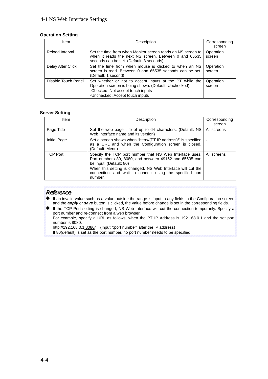#### 4-1 NS Web Interface Settings

#### **Operation Setting**

| Item                | Description                                                                                                                                                                              | Corresponding<br>screen |
|---------------------|------------------------------------------------------------------------------------------------------------------------------------------------------------------------------------------|-------------------------|
| Reload Interval     | Set the time from when Monitor screen reads an NS screen to<br>when it reads the next NS screen. Between 0 and 65535<br>seconds can be set. (Default: 3 seconds)                         | Operation<br>screen     |
| Delay After Click   | Set the time from when mouse is clicked to when an NS<br>screen is read. Between 0 and 65535 seconds can be set.<br>(Default: 1 second)                                                  | Operation<br>screen     |
| Disable Touch Panel | Set whether or not to accept inputs at the PT while the<br>Operation screen is being shown. (Default: Unchecked)<br>-Checked: Not accept touch inputs<br>-Unchecked: Accept touch inputs | Operation<br>screen     |

#### **Server Setting**

| Item            | Description                                                                                                                                                                                                                                                                        | Corresponding<br>screen |
|-----------------|------------------------------------------------------------------------------------------------------------------------------------------------------------------------------------------------------------------------------------------------------------------------------------|-------------------------|
| Page Title      | Set the web page title of up to 64 characters. (Default: NS<br>Web Interface name and its version)                                                                                                                                                                                 | All screens             |
| Initial Page    | Set a screen shown when "http://(PT IP address)/" is specified<br>as a URL and when the Configuration screen is closed.<br>(Default: Menu)                                                                                                                                         |                         |
| <b>TCP Port</b> | Specify the TCP port number that NS Web Interface uses.<br>Port numbers 80, 8080, and between 49152 and 65535 can<br>be input. (Default: 80)<br>When this setting is changed, NS Web Interface will cut the<br>connection, and wait to connect using the specified port<br>number. | All screens             |

#### Reference

- If an invalid value such as a value outside the range is input in any fields in the Configuration screen and the *apply* or *save* button is clicked, the value before change is set in the corresponding fields.
- If the TCP Port setting is changed, NS Web Interface will cut the connection temporarily. Specify a port number and re-connect from a web browser.

For example, specify a URL as follows, when the PT IP Address is 192.168.0.1 and the set port number is 8080.

http://192.168.0.1:8080/ (Input ":port number" after the IP address)

If 80(default) is set as the port number, no port number needs to be specified.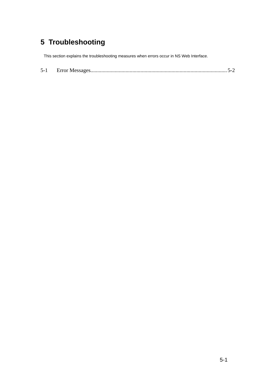# **5 Troubleshooting**

This section explains the troubleshooting measures when errors occur in NS Web Interface.

| $\overline{\phantom{0}}$<br>5-. |  |  |  |
|---------------------------------|--|--|--|
|---------------------------------|--|--|--|